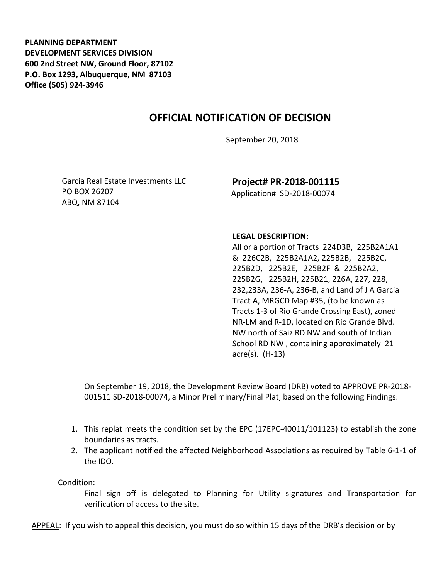**PLANNING DEPARTMENT DEVELOPMENT SERVICES DIVISION 600 2nd Street NW, Ground Floor, 87102 P.O. Box 1293, Albuquerque, NM 87103 Office (505) 924-3946** 

## **OFFICIAL NOTIFICATION OF DECISION**

September 20, 2018

Garcia Real Estate Investments LLC PO BOX 26207 ABQ, NM 87104

**Project# PR-2018-001115** Application# SD-2018-00074

## **LEGAL DESCRIPTION:**

All or a portion of Tracts 224D3B, 225B2A1A1 & 226C2B, 225B2A1A2, 225B2B, 225B2C, 225B2D, 225B2E, 225B2F & 225B2A2, 225B2G, 225B2H, 225B21, 226A, 227, 228, 232,233A, 236-A, 236-B, and Land of J A Garcia Tract A, MRGCD Map #35, (to be known as Tracts 1-3 of Rio Grande Crossing East), zoned NR-LM and R-1D, located on Rio Grande Blvd. NW north of Saiz RD NW and south of Indian School RD NW , containing approximately 21 acre(s). (H-13)

On September 19, 2018, the Development Review Board (DRB) voted to APPROVE PR-2018- 001511 SD-2018-00074, a Minor Preliminary/Final Plat, based on the following Findings:

- 1. This replat meets the condition set by the EPC (17EPC-40011/101123) to establish the zone boundaries as tracts.
- 2. The applicant notified the affected Neighborhood Associations as required by Table 6-1-1 of the IDO.

Condition:

Final sign off is delegated to Planning for Utility signatures and Transportation for verification of access to the site.

APPEAL: If you wish to appeal this decision, you must do so within 15 days of the DRB's decision or by